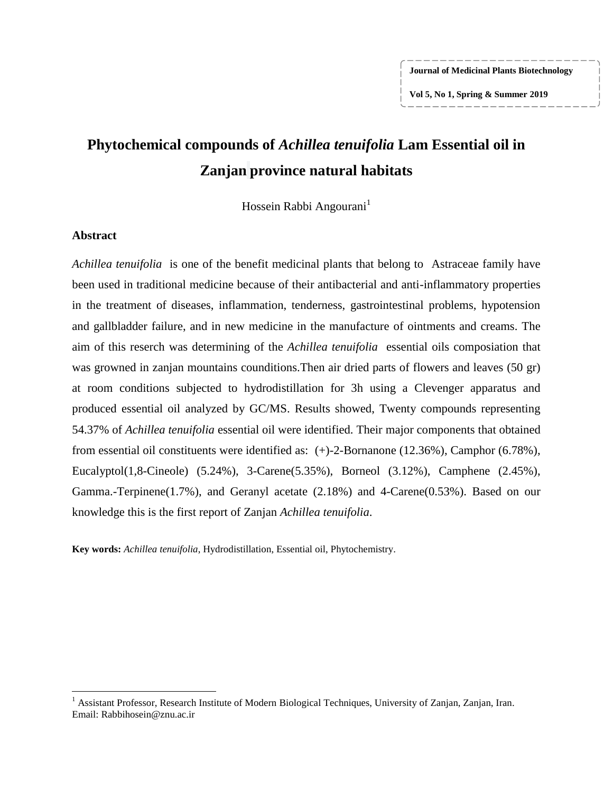**Journal of Medicinal Plants Biotechnology**

**Vol 5, No 1, Spring & Summer 2019**

# **Phytochemical compounds of** *Achillea tenuifolia* **Lam Essential oil in Zanjan province natural habitats**

Hossein Rabbi Angourani<sup>1</sup>

## **Abstract**

 $\overline{\phantom{a}}$ 

*Achillea tenuifolia* is one of the benefit medicinal plants that belong to Astraceae family have been used in traditional medicine because of their antibacterial and anti-inflammatory properties in the treatment of diseases, inflammation, tenderness, gastrointestinal problems, hypotension and gallbladder failure, and in new medicine in the manufacture of ointments and creams. The aim of this reserch was determining of the *Achillea tenuifolia* essential oils composiation that was growned in zanjan mountains counditions.Then air dried parts of flowers and leaves (50 gr) at room conditions subjected to hydrodistillation for 3h using a Clevenger apparatus and produced essential oil analyzed by GC/MS. Results showed, Twenty compounds representing 54.37% of *Achillea tenuifolia* essential oil were identified. Their major components that obtained from essential oil constituents were identified as: (+)-2-Bornanone (12.36%), Camphor (6.78%), Eucalyptol(1,8-Cineole) (5.24%), 3-Carene(5.35%), Borneol (3.12%), Camphene (2.45%), Gamma.-Terpinene(1.7%), and Geranyl acetate (2.18%) and 4-Carene(0.53%). Based on our knowledge this is the first report of Zanjan *Achillea tenuifolia*.

**Key words:** *Achillea tenuifolia*, Hydrodistillation, Essential oil, Phytochemistry.

<sup>&</sup>lt;sup>1</sup> Assistant Professor, Research Institute of Modern Biological Techniques, University of Zanjan, Zanjan, Iran. Email: Rabbihosein@znu.ac.ir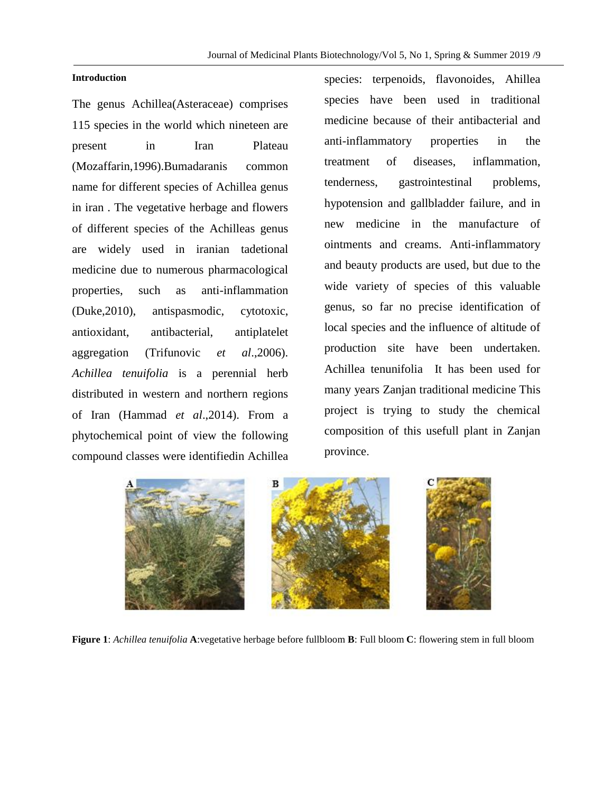### **Introduction**

The genus Achillea(Asteraceae) comprises 115 species in the world which nineteen are present in Iran Plateau (Mozaffarin,1996).Bumadaranis common name for different species of Achillea genus in iran . The vegetative herbage and flowers of different species of the Achilleas genus are widely used in iranian tadetional medicine due to numerous pharmacological properties, such as anti-inflammation (Duke,2010), antispasmodic, cytotoxic, antioxidant, antibacterial, antiplatelet aggregation (Trifunovic *et al*.,2006). *Achillea tenuifolia* is a perennial herb distributed in western and northern regions of Iran (Hammad *et al*.,2014). From a phytochemical point of view the following compound classes were identifiedin Achillea species: terpenoids, flavonoides, Ahillea species have been used in traditional medicine because of their antibacterial and anti-inflammatory properties in the treatment of diseases, inflammation, tenderness, gastrointestinal problems, hypotension and gallbladder failure, and in new medicine in the manufacture of ointments and creams. Anti-inflammatory and beauty products are used, but due to the wide variety of species of this valuable genus, so far no precise identification of local species and the influence of altitude of production site have been undertaken. Achillea tenunifolia It has been used for many years Zanjan traditional medicine This project is trying to study the chemical composition of this usefull plant in Zanjan province.



**Figure 1**: *Achillea tenuifolia* **A**:vegetative herbage before fullbloom **B**: Full bloom **C**: flowering stem in full bloom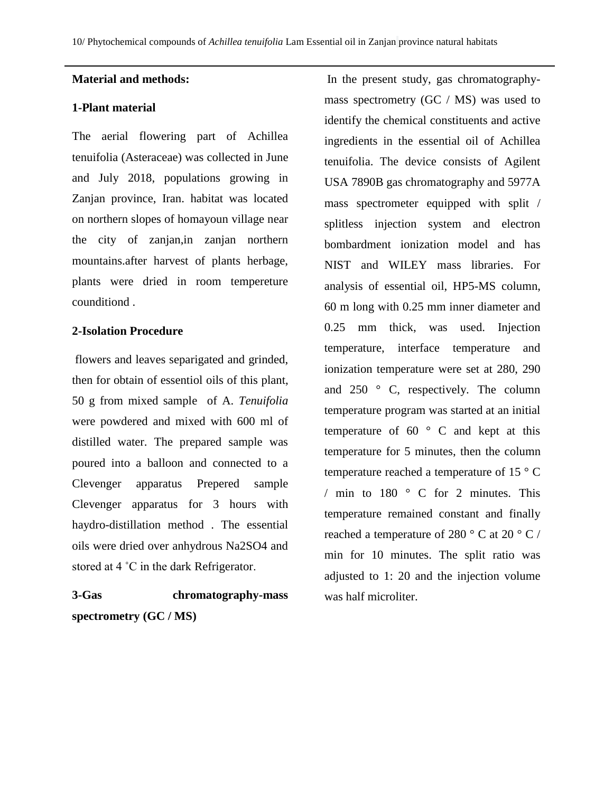## **Material and methods:**

## **1-Plant material**

The aerial flowering part of Achillea tenuifolia (Asteraceae) was collected in June and July 2018, populations growing in Zanjan province, Iran. habitat was located on northern slopes of homayoun village near the city of zanjan,in zanjan northern mountains.after harvest of plants herbage, plants were dried in room tempereture counditiond .

# **2-Isolation Procedure**

flowers and leaves separigated and grinded, then for obtain of essentiol oils of this plant, 50 g from mixed sample of A. *Tenuifolia* were powdered and mixed with 600 ml of distilled water. The prepared sample was poured into a balloon and connected to a Clevenger apparatus Prepered sample Clevenger apparatus for 3 hours with haydro-distillation method . The essential oils were dried over anhydrous Na2SO4 and stored at 4 ˚C in the dark Refrigerator.

**3-Gas chromatography-mass spectrometry (GC / MS)**

In the present study, gas chromatographymass spectrometry (GC / MS) was used to identify the chemical constituents and active ingredients in the essential oil of Achillea tenuifolia. The device consists of Agilent USA 7890B gas chromatography and 5977A mass spectrometer equipped with split / splitless injection system and electron bombardment ionization model and has NIST and WILEY mass libraries. For analysis of essential oil, HP5-MS column, 60 m long with 0.25 mm inner diameter and 0.25 mm thick, was used. Injection temperature, interface temperature and ionization temperature were set at 280, 290 and 250 ° C, respectively. The column temperature program was started at an initial temperature of  $60^\circ$  C and kept at this temperature for 5 minutes, then the column temperature reached a temperature of 15 ° C / min to 180 ° C for 2 minutes. This temperature remained constant and finally reached a temperature of 280  $\degree$  C at 20  $\degree$  C / min for 10 minutes. The split ratio was adjusted to 1: 20 and the injection volume was half microliter.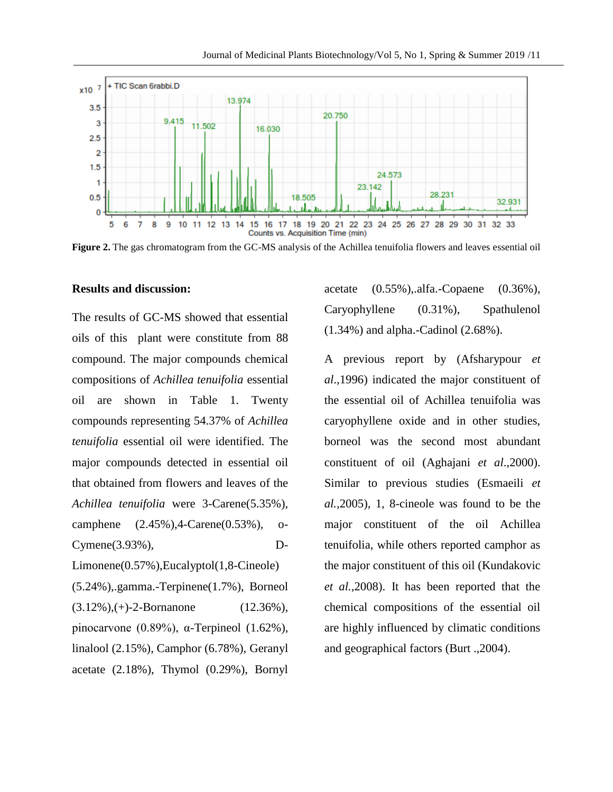

**Figure 2.** The gas chromatogram from the GC-MS analysis of the Achillea tenuifolia flowers and leaves essential oil

### **Results and discussion:**

The results of GC-MS showed that essential oils of this plant were constitute from 88 compound. The major compounds chemical compositions of *Achillea tenuifolia* essential oil are shown in Table 1. Twenty compounds representing 54.37% of *Achillea tenuifolia* essential oil were identified. The major compounds detected in essential oil that obtained from flowers and leaves of the *Achillea tenuifolia* were 3-Carene(5.35%), camphene (2.45%),4-Carene(0.53%), o-Cymene(3.93%), D-Limonene(0.57%),Eucalyptol(1,8-Cineole)

(5.24%),.gamma.-Terpinene(1.7%), Borneol  $(3.12\%), (+)-2-Bornanone$   $(12.36\%),$ pinocarvone (0.89%), α-Terpineol (1.62%), linalool (2.15%), Camphor (6.78%), Geranyl acetate (2.18%), Thymol (0.29%), Bornyl

acetate (0.55%),.alfa.-Copaene (0.36%), Caryophyllene (0.31%), Spathulenol (1.34%) and alpha.-Cadinol (2.68%).

A previous report by (Afsharypour *et al*.,1996) indicated the major constituent of the essential oil of Achillea tenuifolia was caryophyllene oxide and in other studies, borneol was the second most abundant constituent of oil (Aghajani *et al*.,2000). Similar to previous studies (Esmaeili *et al.,*2005), 1, 8-cineole was found to be the major constituent of the oil Achillea tenuifolia, while others reported camphor as the major constituent of this oil (Kundakovic *et al.,*2008). It has been reported that the chemical compositions of the essential oil are highly influenced by climatic conditions and geographical factors (Burt .,2004).